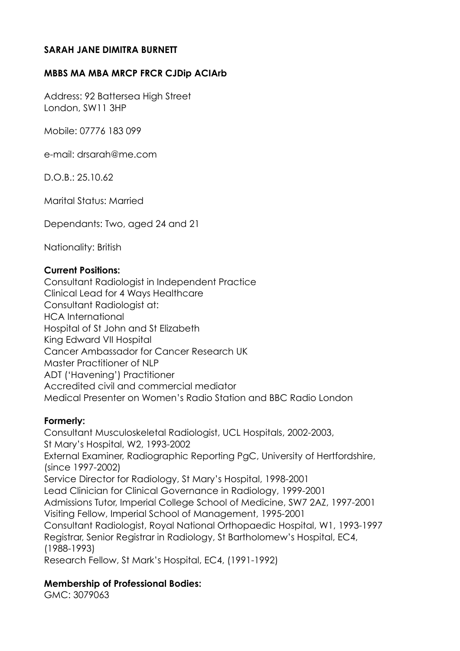## **SARAH JANE DIMITRA BURNETT**

## **MBBS MA MBA MRCP FRCR CJDip ACIArb**

Address: 92 Battersea High Street London, SW11 3HP

Mobile: 07776 183 099

e-mail: drsarah@me.com

D.O.B.: 25.10.62

Marital Status: Married

Dependants: Two, aged 24 and 21

Nationality: British

#### **Current Positions:**

Consultant Radiologist in Independent Practice Clinical Lead for 4 Ways Healthcare Consultant Radiologist at: HCA International Hospital of St John and St Elizabeth King Edward VII Hospital Cancer Ambassador for Cancer Research UK Master Practitioner of NLP ADT ('Havening') Practitioner Accredited civil and commercial mediator Medical Presenter on Women's Radio Station and BBC Radio London

#### **Formerly:**

Consultant Musculoskeletal Radiologist, UCL Hospitals, 2002-2003, St Mary's Hospital, W2, 1993-2002 External Examiner, Radiographic Reporting PgC, University of Hertfordshire, (since 1997-2002) Service Director for Radiology, St Mary's Hospital, 1998-2001 Lead Clinician for Clinical Governance in Radiology, 1999-2001 Admissions Tutor, Imperial College School of Medicine, SW7 2AZ, 1997-2001 Visiting Fellow, Imperial School of Management, 1995-2001 Consultant Radiologist, Royal National Orthopaedic Hospital, W1, 1993-1997 Registrar, Senior Registrar in Radiology, St Bartholomew's Hospital, EC4, (1988-1993) Research Fellow, St Mark's Hospital, EC4, (1991-1992)

## **Membership of Professional Bodies:**

GMC: 3079063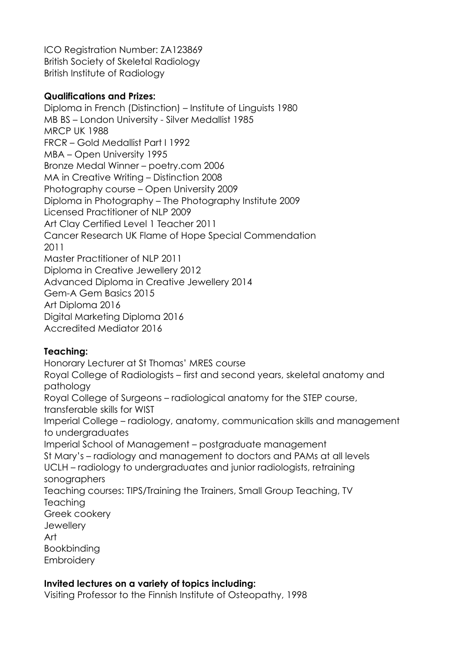ICO Registration Number: ZA123869 British Society of Skeletal Radiology British Institute of Radiology

## **Qualifications and Prizes:**

Diploma in French (Distinction) – Institute of Linguists 1980 MB BS – London University - Silver Medallist 1985 MRCP UK 1988 FRCR – Gold Medallist Part I 1992 MBA – Open University 1995 Bronze Medal Winner – poetry.com 2006 MA in Creative Writing – Distinction 2008 Photography course – Open University 2009 Diploma in Photography – The Photography Institute 2009 Licensed Practitioner of NLP 2009 Art Clay Certified Level 1 Teacher 2011 Cancer Research UK Flame of Hope Special Commendation 2011 Master Practitioner of NLP 2011 Diploma in Creative Jewellery 2012 Advanced Diploma in Creative Jewellery 2014 Gem-A Gem Basics 2015 Art Diploma 2016 Digital Marketing Diploma 2016 Accredited Mediator 2016

# **Teaching:**

Honorary Lecturer at St Thomas' MRES course Royal College of Radiologists – first and second years, skeletal anatomy and pathology Royal College of Surgeons – radiological anatomy for the STEP course, transferable skills for WIST Imperial College – radiology, anatomy, communication skills and management to undergraduates Imperial School of Management – postgraduate management St Mary's – radiology and management to doctors and PAMs at all levels UCLH – radiology to undergraduates and junior radiologists, retraining sonographers Teaching courses: TIPS/Training the Trainers, Small Group Teaching, TV **Teaching** Greek cookery **Jewellery** Art Bookbinding **Embroidery** 

# **Invited lectures on a variety of topics including:**

Visiting Professor to the Finnish Institute of Osteopathy, 1998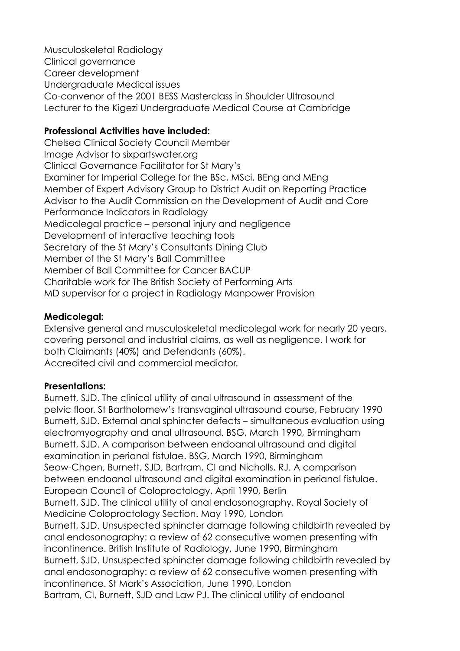Musculoskeletal Radiology Clinical governance Career development Undergraduate Medical issues Co-convenor of the 2001 BESS Masterclass in Shoulder Ultrasound Lecturer to the Kigezi Undergraduate Medical Course at Cambridge

## **Professional Activities have included:**

Chelsea Clinical Society Council Member Image Advisor to sixpartswater.org Clinical Governance Facilitator for St Mary's Examiner for Imperial College for the BSc, MSci, BEng and MEng Member of Expert Advisory Group to District Audit on Reporting Practice Advisor to the Audit Commission on the Development of Audit and Core Performance Indicators in Radiology Medicolegal practice – personal injury and negligence Development of interactive teaching tools Secretary of the St Mary's Consultants Dining Club Member of the St Mary's Ball Committee Member of Ball Committee for Cancer BACUP Charitable work for The British Society of Performing Arts MD supervisor for a project in Radiology Manpower Provision

## **Medicolegal:**

Extensive general and musculoskeletal medicolegal work for nearly 20 years, covering personal and industrial claims, as well as negligence. I work for both Claimants (40%) and Defendants (60%). Accredited civil and commercial mediator.

## **Presentations:**

Burnett, SJD. The clinical utility of anal ultrasound in assessment of the pelvic floor. St Bartholomew's transvaginal ultrasound course, February 1990 Burnett, SJD. External anal sphincter defects – simultaneous evaluation using electromyography and anal ultrasound. BSG, March 1990, Birmingham Burnett, SJD. A comparison between endoanal ultrasound and digital examination in perianal fistulae. BSG, March 1990, Birmingham Seow-Choen, Burnett, SJD, Bartram, CI and Nicholls, RJ. A comparison between endoanal ultrasound and digital examination in perianal fistulae. European Council of Coloproctology, April 1990, Berlin Burnett, SJD. The clinical utility of anal endosonography. Royal Society of Medicine Coloproctology Section. May 1990, London Burnett, SJD. Unsuspected sphincter damage following childbirth revealed by anal endosonography: a review of 62 consecutive women presenting with incontinence. British Institute of Radiology, June 1990, Birmingham Burnett, SJD. Unsuspected sphincter damage following childbirth revealed by anal endosonography: a review of 62 consecutive women presenting with incontinence. St Mark's Association, June 1990, London Bartram, CI, Burnett, SJD and Law PJ. The clinical utility of endoanal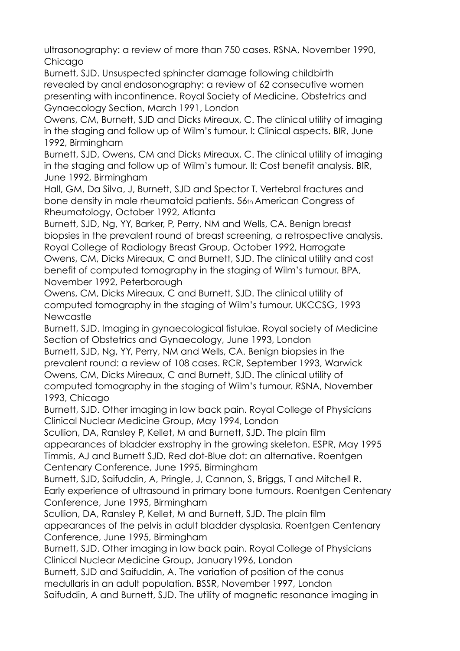ultrasonography: a review of more than 750 cases. RSNA, November 1990, Chicago

Burnett, SJD. Unsuspected sphincter damage following childbirth revealed by anal endosonography: a review of 62 consecutive women presenting with incontinence. Royal Society of Medicine, Obstetrics and Gynaecology Section, March 1991, London

Owens, CM, Burnett, SJD and Dicks Mireaux, C. The clinical utility of imaging in the staging and follow up of Wilm's tumour. I: Clinical aspects. BIR, June 1992, Birmingham

Burnett, SJD, Owens, CM and Dicks Mireaux, C. The clinical utility of imaging in the staging and follow up of Wilm's tumour. II: Cost benefit analysis. BIR, June 1992, Birmingham

Hall, GM, Da Silva, J, Burnett, SJD and Spector T. Vertebral fractures and bone density in male rheumatoid patients. 56th American Congress of Rheumatology, October 1992, Atlanta

Burnett, SJD, Ng, YY, Barker, P, Perry, NM and Wells, CA. Benign breast biopsies in the prevalent round of breast screening, a retrospective analysis. Royal College of Radiology Breast Group, October 1992, Harrogate Owens, CM, Dicks Mireaux, C and Burnett, SJD. The clinical utility and cost benefit of computed tomography in the staging of Wilm's tumour. BPA, November 1992, Peterborough

Owens, CM, Dicks Mireaux, C and Burnett, SJD. The clinical utility of computed tomography in the staging of Wilm's tumour. UKCCSG, 1993 **Newcastle** 

Burnett, SJD. Imaging in gynaecological fistulae. Royal society of Medicine Section of Obstetrics and Gynaecology, June 1993, London

Burnett, SJD, Ng, YY, Perry, NM and Wells, CA. Benign biopsies in the prevalent round: a review of 108 cases. RCR, September 1993, Warwick Owens, CM, Dicks Mireaux, C and Burnett, SJD. The clinical utility of computed tomography in the staging of Wilm's tumour. RSNA, November 1993, Chicago

Burnett, SJD. Other imaging in low back pain. Royal College of Physicians Clinical Nuclear Medicine Group, May 1994, London

Scullion, DA, Ransley P, Kellet, M and Burnett, SJD. The plain film

appearances of bladder exstrophy in the growing skeleton. ESPR, May 1995 Timmis, AJ and Burnett SJD. Red dot-Blue dot: an alternative. Roentgen Centenary Conference, June 1995, Birmingham

Burnett, SJD, Saifuddin, A, Pringle, J, Cannon, S, Briggs, T and Mitchell R. Early experience of ultrasound in primary bone tumours. Roentgen Centenary Conference, June 1995, Birmingham

Scullion, DA, Ransley P, Kellet, M and Burnett, SJD. The plain film appearances of the pelvis in adult bladder dysplasia. Roentgen Centenary Conference, June 1995, Birmingham

Burnett, SJD. Other imaging in low back pain. Royal College of Physicians Clinical Nuclear Medicine Group, January1996, London

Burnett, SJD and Saifuddin, A. The variation of position of the conus medullaris in an adult population. BSSR, November 1997, London

Saifuddin, A and Burnett, SJD. The utility of magnetic resonance imaging in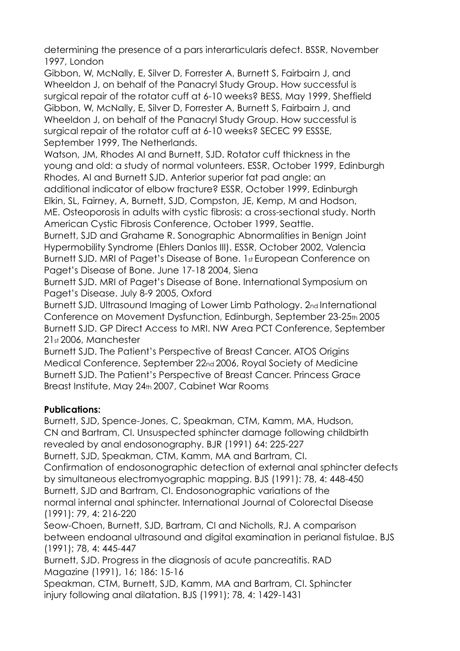determining the presence of a pars interarticularis defect. BSSR, November 1997, London

Gibbon, W, McNally, E, Silver D, Forrester A, Burnett S, Fairbairn J, and Wheeldon J, on behalf of the Panacryl Study Group. How successful is surgical repair of the rotator cuff at 6-10 weeks? BESS, May 1999, Sheffield Gibbon, W, McNally, E, Silver D, Forrester A, Burnett S, Fairbairn J, and Wheeldon J, on behalf of the Panacryl Study Group. How successful is surgical repair of the rotator cuff at 6-10 weeks? SECEC 99 ESSSE, September 1999, The Netherlands.

Watson, JM, Rhodes AI and Burnett, SJD. Rotator cuff thickness in the young and old: a study of normal volunteers. ESSR, October 1999, Edinburgh Rhodes, AI and Burnett SJD. Anterior superior fat pad angle: an additional indicator of elbow fracture? ESSR, October 1999, Edinburgh Elkin, SL, Fairney, A, Burnett, SJD, Compston, JE, Kemp, M and Hodson,

ME. Osteoporosis in adults with cystic fibrosis: a cross-sectional study. North American Cystic Fibrosis Conference, October 1999, Seattle.

Burnett, SJD and Grahame R. Sonographic Abnormalities in Benign Joint Hypermobility Syndrome (Ehlers Danlos III). ESSR, October 2002, Valencia Burnett SJD. MRI of Paget's Disease of Bone. 1st European Conference on Paget's Disease of Bone. June 17-18 2004, Siena

Burnett SJD. MRI of Paget's Disease of Bone. International Symposium on Paget's Disease. July 8-9 2005, Oxford

Burnett SJD. Ultrasound Imaging of Lower Limb Pathology. 2nd International Conference on Movement Dysfunction, Edinburgh, September 23-25th 2005 Burnett SJD. GP Direct Access to MRI. NW Area PCT Conference, September 21st 2006, Manchester

Burnett SJD. The Patient's Perspective of Breast Cancer. ATOS Origins Medical Conference, September 22nd 2006, Royal Society of Medicine Burnett SJD. The Patient's Perspective of Breast Cancer. Princess Grace Breast Institute, May 24th 2007, Cabinet War Rooms

# **Publications:**

Burnett, SJD, Spence-Jones, C, Speakman, CTM, Kamm, MA, Hudson, CN and Bartram, CI. Unsuspected sphincter damage following childbirth revealed by anal endosonography. BJR (1991) 64: 225-227 Burnett, SJD, Speakman, CTM, Kamm, MA and Bartram, CI. Confirmation of endosonographic detection of external anal sphincter defects by simultaneous electromyographic mapping. BJS (1991): 78, 4: 448-450 Burnett, SJD and Bartram, CI. Endosonographic variations of the normal internal anal sphincter. International Journal of Colorectal Disease (1991): 79, 4: 216-220 Seow-Choen, Burnett, SJD, Bartram, CI and Nicholls, RJ. A comparison between endoanal ultrasound and digital examination in perianal fistulae. BJS (1991); 78, 4: 445-447 Burnett, SJD. Progress in the diagnosis of acute pancreatitis. RAD Magazine (1991), 16; 186: 15-16

Speakman, CTM, Burnett, SJD, Kamm, MA and Bartram, CI. Sphincter injury following anal dilatation. BJS (1991); 78, 4: 1429-1431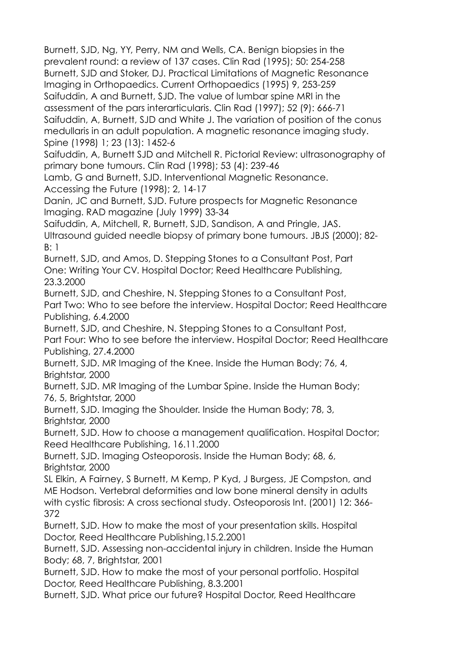Burnett, SJD, Ng, YY, Perry, NM and Wells, CA. Benign biopsies in the prevalent round: a review of 137 cases. Clin Rad (1995); 50: 254-258 Burnett, SJD and Stoker, DJ. Practical Limitations of Magnetic Resonance Imaging in Orthopaedics. Current Orthopaedics (1995) 9, 253-259 Saifuddin, A and Burnett, SJD. The value of lumbar spine MRI in the assessment of the pars interarticularis. Clin Rad (1997); 52 (9): 666-71 Saifuddin, A, Burnett, SJD and White J. The variation of position of the conus medullaris in an adult population. A magnetic resonance imaging study. Spine (1998) 1; 23 (13): 1452-6 Saifuddin, A, Burnett SJD and Mitchell R. Pictorial Review: ultrasonography of primary bone tumours. Clin Rad (1998); 53 (4): 239-46 Lamb, G and Burnett, SJD. Interventional Magnetic Resonance. Accessing the Future (1998); 2, 14-17 Danin, JC and Burnett, SJD. Future prospects for Magnetic Resonance Imaging. RAD magazine (July 1999) 33-34 Saifuddin, A, Mitchell, R, Burnett, SJD, Sandison, A and Pringle, JAS. Ultrasound guided needle biopsy of primary bone tumours. JBJS (2000); 82- B: 1 Burnett, SJD, and Amos, D. Stepping Stones to a Consultant Post, Part One: Writing Your CV. Hospital Doctor; Reed Healthcare Publishing, 23.3.2000 Burnett, SJD, and Cheshire, N. Stepping Stones to a Consultant Post, Part Two: Who to see before the interview. Hospital Doctor; Reed Healthcare Publishing, 6.4.2000 Burnett, SJD, and Cheshire, N. Stepping Stones to a Consultant Post, Part Four: Who to see before the interview. Hospital Doctor; Reed Healthcare Publishing, 27.4.2000 Burnett, SJD. MR Imaging of the Knee. Inside the Human Body; 76, 4, Brightstar, 2000 Burnett, SJD. MR Imaging of the Lumbar Spine. Inside the Human Body; 76, 5, Brightstar, 2000 Burnett, SJD. Imaging the Shoulder. Inside the Human Body; 78, 3, Brightstar, 2000 Burnett, SJD. How to choose a management qualification. Hospital Doctor; Reed Healthcare Publishing, 16.11.2000 Burnett, SJD. Imaging Osteoporosis. Inside the Human Body; 68, 6, Brightstar, 2000 SL Elkin, A Fairney, S Burnett, M Kemp, P Kyd, J Burgess, JE Compston, and ME Hodson. Vertebral deformities and low bone mineral density in adults with cystic fibrosis: A cross sectional study. Osteoporosis Int. (2001) 12: 366- 372 Burnett, SJD. How to make the most of your presentation skills. Hospital Doctor, Reed Healthcare Publishing,15.2.2001 Burnett, SJD. Assessing non-accidental injury in children. Inside the Human Body; 68, 7, Brightstar, 2001 Burnett, SJD. How to make the most of your personal portfolio. Hospital Doctor, Reed Healthcare Publishing, 8.3.2001

Burnett, SJD. What price our future? Hospital Doctor, Reed Healthcare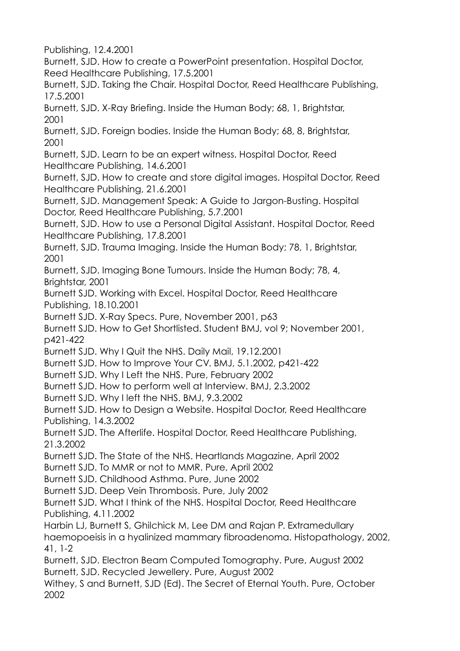Publishing, 12.4.2001

Burnett, SJD. How to create a PowerPoint presentation. Hospital Doctor, Reed Healthcare Publishing, 17.5.2001

Burnett, SJD. Taking the Chair. Hospital Doctor, Reed Healthcare Publishing, 17.5.2001

Burnett, SJD. X-Ray Briefing. Inside the Human Body; 68, 1, Brightstar, 2001

Burnett, SJD. Foreign bodies. Inside the Human Body; 68, 8, Brightstar, 2001

Burnett, SJD. Learn to be an expert witness. Hospital Doctor, Reed Healthcare Publishing, 14.6.2001

Burnett, SJD. How to create and store digital images. Hospital Doctor, Reed Healthcare Publishing, 21.6.2001

Burnett, SJD. Management Speak: A Guide to Jargon-Busting. Hospital Doctor, Reed Healthcare Publishing, 5.7.2001

Burnett, SJD. How to use a Personal Digital Assistant. Hospital Doctor, Reed Healthcare Publishing, 17.8.2001

Burnett, SJD. Trauma Imaging. Inside the Human Body; 78, 1, Brightstar, 2001

Burnett, SJD. Imaging Bone Tumours. Inside the Human Body; 78, 4, Brightstar, 2001

Burnett SJD. Working with Excel. Hospital Doctor, Reed Healthcare Publishing, 18.10.2001

Burnett SJD. X-Ray Specs. Pure, November 2001, p63

Burnett SJD. How to Get Shortlisted. Student BMJ, vol 9; November 2001, p421-422

Burnett SJD. Why I Quit the NHS. Daily Mail, 19.12.2001

Burnett SJD. How to Improve Your CV. BMJ, 5.1.2002, p421-422

Burnett SJD. Why I Left the NHS. Pure, February 2002

Burnett SJD. How to perform well at Interview. BMJ, 2.3.2002

Burnett SJD. Why I left the NHS. BMJ, 9.3.2002

Burnett SJD. How to Design a Website. Hospital Doctor, Reed Healthcare Publishing, 14.3.2002

Burnett SJD. The Afterlife. Hospital Doctor, Reed Healthcare Publishing, 21.3.2002

Burnett SJD. The State of the NHS. Heartlands Magazine, April 2002

Burnett SJD. To MMR or not to MMR. Pure, April 2002

Burnett SJD. Childhood Asthma. Pure, June 2002

Burnett SJD. Deep Vein Thrombosis. Pure, July 2002

Burnett SJD. What I think of the NHS. Hospital Doctor, Reed Healthcare Publishing, 4.11.2002

Harbin LJ, Burnett S, Ghilchick M, Lee DM and Rajan P. Extramedullary haemopoeisis in a hyalinized mammary fibroadenoma. Histopathology, 2002, 41, 1-2

Burnett, SJD. Electron Beam Computed Tomography. Pure, August 2002 Burnett, SJD. Recycled Jewellery. Pure, August 2002

Withey, S and Burnett, SJD (Ed). The Secret of Eternal Youth. Pure, October 2002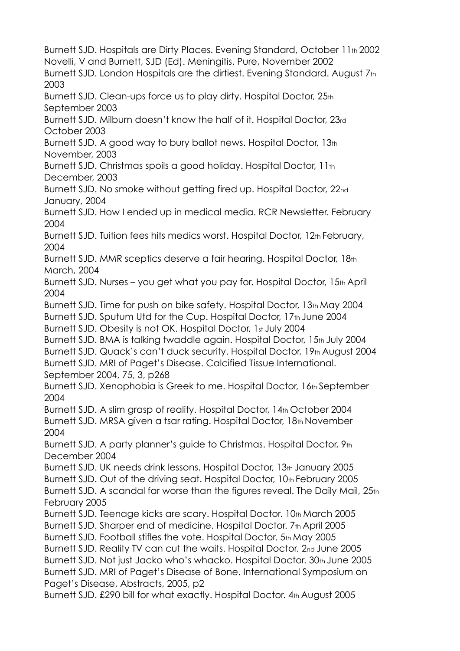Burnett SJD. Hospitals are Dirty Places. Evening Standard, October 11th 2002 Novelli, V and Burnett, SJD (Ed). Meningitis. Pure, November 2002 Burnett SJD. London Hospitals are the dirtiest. Evening Standard. August 7th 2003 Burnett SJD. Clean-ups force us to play dirty. Hospital Doctor, 25th September 2003 Burnett SJD. Milburn doesn't know the half of it. Hospital Doctor, 23rd October 2003 Burnett SJD. A good way to bury ballot news. Hospital Doctor, 13th November, 2003 Burnett SJD. Christmas spoils a good holiday. Hospital Doctor, 11th December, 2003 Burnett SJD. No smoke without getting fired up. Hospital Doctor, 22nd January, 2004 Burnett SJD. How I ended up in medical media. RCR Newsletter. February 2004 Burnett SJD. Tuition fees hits medics worst. Hospital Doctor, 12th February, 2004 Burnett SJD. MMR sceptics deserve a fair hearing. Hospital Doctor, 18th March, 2004 Burnett SJD. Nurses – you get what you pay for. Hospital Doctor, 15th April 2004 Burnett SJD. Time for push on bike safety. Hospital Doctor, 13th May 2004 Burnett SJD. Sputum Utd for the Cup. Hospital Doctor, 17th June 2004 Burnett SJD. Obesity is not OK. Hospital Doctor, 1st July 2004 Burnett SJD. BMA is talking twaddle again. Hospital Doctor, 15th July 2004 Burnett SJD. Quack's can't duck security. Hospital Doctor, 19th August 2004 Burnett SJD. MRI of Paget's Disease. Calcified Tissue International. September 2004, 75, 3, p268 Burnett SJD. Xenophobia is Greek to me. Hospital Doctor, 16th September 2004 Burnett SJD. A slim grasp of reality. Hospital Doctor, 14th October 2004 Burnett SJD. MRSA given a tsar rating. Hospital Doctor, 18th November 2004 Burnett SJD. A party planner's guide to Christmas. Hospital Doctor, 9th December 2004 Burnett SJD. UK needs drink lessons. Hospital Doctor, 13th January 2005 Burnett SJD. Out of the driving seat. Hospital Doctor, 10th February 2005 Burnett SJD. A scandal far worse than the figures reveal. The Daily Mail, 25th February 2005 Burnett SJD. Teenage kicks are scary. Hospital Doctor. 10th March 2005 Burnett SJD. Sharper end of medicine. Hospital Doctor. 7th April 2005 Burnett SJD. Football stifles the vote. Hospital Doctor. 5th May 2005 Burnett SJD. Reality TV can cut the waits. Hospital Doctor. 2nd June 2005 Burnett SJD. Not just Jacko who's whacko. Hospital Doctor. 30th June 2005 Burnett SJD. MRI of Paget's Disease of Bone. International Symposium on Paget's Disease, Abstracts, 2005, p2 Burnett SJD. £290 bill for what exactly. Hospital Doctor. 4th August 2005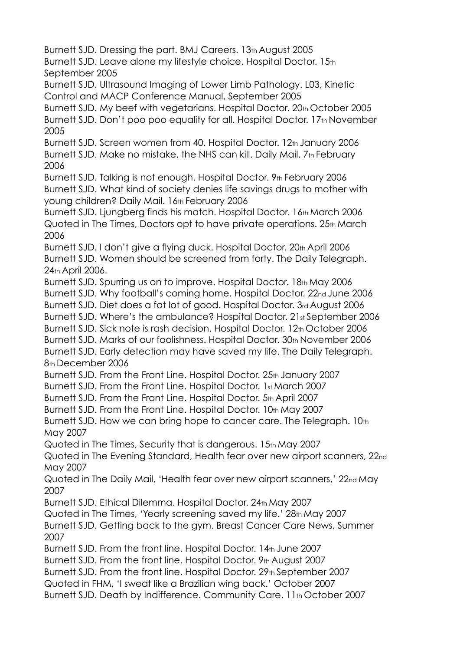Burnett SJD. Dressing the part. BMJ Careers. 13th August 2005 Burnett SJD. Leave alone my lifestyle choice. Hospital Doctor. 15th September 2005

Burnett SJD. Ultrasound Imaging of Lower Limb Pathology. L03, Kinetic Control and MACP Conference Manual, September 2005

Burnett SJD. My beef with vegetarians. Hospital Doctor. 20th October 2005 Burnett SJD. Don't poo poo equality for all. Hospital Doctor. 17th November 2005

Burnett SJD. Screen women from 40. Hospital Doctor. 12th January 2006 Burnett SJD. Make no mistake, the NHS can kill. Daily Mail. 7th February 2006

Burnett SJD. Talking is not enough. Hospital Doctor. 9th February 2006 Burnett SJD. What kind of society denies life savings drugs to mother with young children? Daily Mail. 16th February 2006

Burnett SJD. Ljungberg finds his match. Hospital Doctor. 16th March 2006 Quoted in The Times, Doctors opt to have private operations. 25th March 2006

Burnett SJD. I don't give a flying duck. Hospital Doctor. 20th April 2006 Burnett SJD. Women should be screened from forty. The Daily Telegraph. 24th April 2006.

Burnett SJD. Spurring us on to improve. Hospital Doctor. 18th May 2006 Burnett SJD. Why football's coming home. Hospital Doctor. 22nd June 2006 Burnett SJD. Diet does a fat lot of good. Hospital Doctor. 3rd August 2006 Burnett SJD. Where's the ambulance? Hospital Doctor. 21st September 2006 Burnett SJD. Sick note is rash decision. Hospital Doctor. 12th October 2006 Burnett SJD. Marks of our foolishness. Hospital Doctor. 30th November 2006 Burnett SJD. Early detection may have saved my life. The Daily Telegraph. 8th December 2006

Burnett SJD. From the Front Line. Hospital Doctor. 25th January 2007

Burnett SJD. From the Front Line. Hospital Doctor. 1st March 2007

Burnett SJD. From the Front Line. Hospital Doctor. 5th April 2007

Burnett SJD. From the Front Line. Hospital Doctor. 10th May 2007

Burnett SJD. How we can bring hope to cancer care. The Telegraph. 10th May 2007

Quoted in The Times, Security that is dangerous. 15th May 2007

Quoted in The Evening Standard, Health fear over new airport scanners, 22nd May 2007

Quoted in The Daily Mail, 'Health fear over new airport scanners,' 22nd May 2007

Burnett SJD. Ethical Dilemma. Hospital Doctor. 24th May 2007

Quoted in The Times, 'Yearly screening saved my life.' 28th May 2007 Burnett SJD. Getting back to the gym. Breast Cancer Care News, Summer 2007

Burnett SJD. From the front line. Hospital Doctor. 14th June 2007

Burnett SJD. From the front line. Hospital Doctor, 9th August 2007

Burnett SJD. From the front line. Hospital Doctor. 29th September 2007

Quoted in FHM, 'I sweat like a Brazilian wing back.' October 2007

Burnett SJD. Death by Indifference. Community Care. 11th October 2007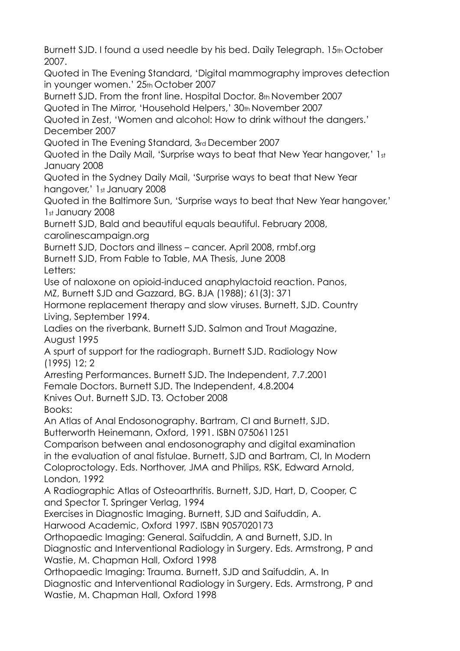Burnett SJD. I found a used needle by his bed. Daily Telegraph. 15th October 2007.

Quoted in The Evening Standard, 'Digital mammography improves detection in younger women.' 25th October 2007

Burnett SJD. From the front line. Hospital Doctor. 8th November 2007 Quoted in The Mirror, 'Household Helpers,' 30th November 2007

Quoted in Zest, 'Women and alcohol: How to drink without the dangers.' December 2007

Quoted in The Evening Standard, 3rd December 2007

Quoted in the Daily Mail, 'Surprise ways to beat that New Year hangover,' 1st January 2008

Quoted in the Sydney Daily Mail, 'Surprise ways to beat that New Year hangover,' 1st January 2008

Quoted in the Baltimore Sun, 'Surprise ways to beat that New Year hangover,' 1st January 2008

Burnett SJD, Bald and beautiful equals beautiful. February 2008, carolinescampaign.org

Burnett SJD, Doctors and illness – cancer. April 2008, rmbf.org

Burnett SJD, From Fable to Table, MA Thesis, June 2008 Letters:

Use of naloxone on opioid-induced anaphylactoid reaction. Panos, MZ, Burnett SJD and Gazzard, BG. BJA (1988); 61(3): 371

Hormone replacement therapy and slow viruses. Burnett, SJD. Country Living, September 1994.

Ladies on the riverbank. Burnett SJD. Salmon and Trout Magazine, August 1995

A spurt of support for the radiograph. Burnett SJD. Radiology Now (1995) 12; 2

Arresting Performances. Burnett SJD. The Independent, 7.7.2001 Female Doctors. Burnett SJD. The Independent, 4.8.2004

Knives Out. Burnett SJD. T3. October 2008

Books:

An Atlas of Anal Endosonography. Bartram, CI and Burnett, SJD.

Butterworth Heinemann, Oxford, 1991. ISBN 0750611251

Comparison between anal endosonography and digital examination in the evaluation of anal fistulae. Burnett, SJD and Bartram, CI, In Modern Coloproctology. Eds. Northover, JMA and Philips, RSK, Edward Arnold, London, 1992

A Radiographic Atlas of Osteoarthritis. Burnett, SJD, Hart, D, Cooper, C and Spector T. Springer Verlag, 1994

Exercises in Diagnostic Imaging. Burnett, SJD and Saifuddin, A.

Harwood Academic, Oxford 1997. ISBN 9057020173

Orthopaedic Imaging: General. Saifuddin, A and Burnett, SJD. In

Diagnostic and Interventional Radiology in Surgery. Eds. Armstrong, P and Wastie, M. Chapman Hall, Oxford 1998

Orthopaedic Imaging: Trauma. Burnett, SJD and Saifuddin, A. In

Diagnostic and Interventional Radiology in Surgery. Eds. Armstrong, P and Wastie, M. Chapman Hall, Oxford 1998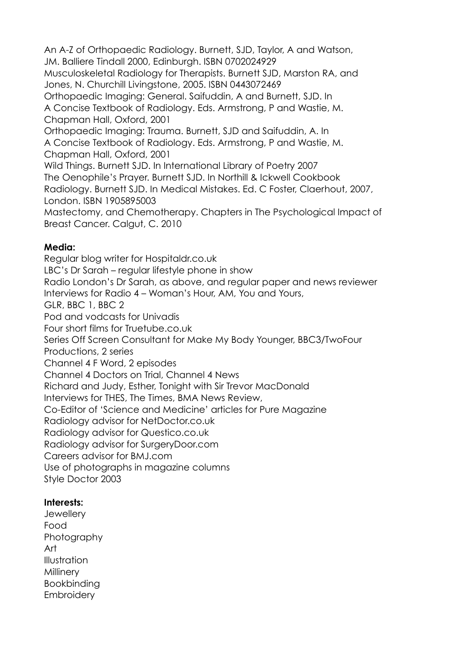An A-Z of Orthopaedic Radiology. Burnett, SJD, Taylor, A and Watson, JM. Balliere Tindall 2000, Edinburgh. ISBN 0702024929 Musculoskeletal Radiology for Therapists. Burnett SJD, Marston RA, and Jones, N. Churchill Livingstone, 2005. ISBN 0443072469 Orthopaedic Imaging: General. Saifuddin, A and Burnett, SJD. In A Concise Textbook of Radiology. Eds. Armstrong, P and Wastie, M. Chapman Hall, Oxford, 2001 Orthopaedic Imaging: Trauma. Burnett, SJD and Saifuddin, A. In A Concise Textbook of Radiology. Eds. Armstrong, P and Wastie, M. Chapman Hall, Oxford, 2001 Wild Things. Burnett SJD. In International Library of Poetry 2007 The Oenophile's Prayer. Burnett SJD. In Northill & Ickwell Cookbook Radiology. Burnett SJD. In Medical Mistakes. Ed. C Foster, Claerhout, 2007, London. ISBN 1905895003 Mastectomy, and Chemotherapy. Chapters in The Psychological Impact of Breast Cancer. Calgut, C. 2010

#### **Media:**

Regular blog writer for Hospitaldr.co.uk LBC's Dr Sarah – regular lifestyle phone in show Radio London's Dr Sarah, as above, and regular paper and news reviewer Interviews for Radio 4 – Woman's Hour, AM, You and Yours, GLR, BBC 1, BBC 2 Pod and vodcasts for Univadis Four short films for Truetube.co.uk Series Off Screen Consultant for Make My Body Younger, BBC3/TwoFour Productions, 2 series Channel 4 F Word, 2 episodes Channel 4 Doctors on Trial, Channel 4 News Richard and Judy, Esther, Tonight with Sir Trevor MacDonald Interviews for THES, The Times, BMA News Review, Co-Editor of 'Science and Medicine' articles for Pure Magazine Radiology advisor for NetDoctor.co.uk Radiology advisor for Questico.co.uk Radiology advisor for SurgeryDoor.com Careers advisor for BMJ.com Use of photographs in magazine columns Style Doctor 2003

#### **Interests:**

**Jewellery** Food **Photography** Art Illustration Millinery Bookbinding **Embroidery**